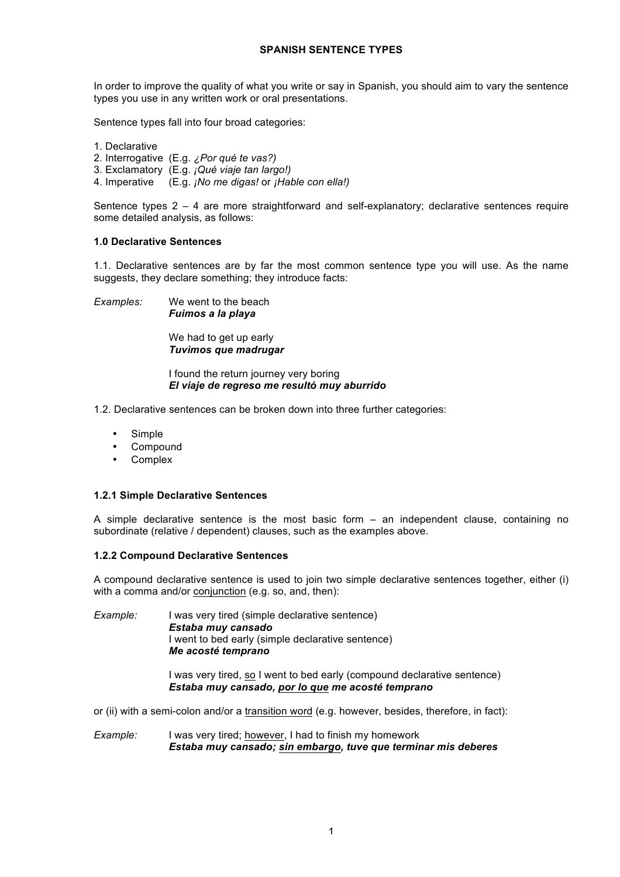In order to improve the quality of what you write or say in Spanish, you should aim to vary the sentence types you use in any written work or oral presentations.

Sentence types fall into four broad categories:

- 1. Declarative
- 2. Interrogative (E.g. *¿Por qué te vas?)*
- 3. Exclamatory (E.g. *¡Qué viaje tan largo!)*
- 4. Imperative (E.g. *¡No me digas!* or *¡Hable con ella!)*

Sentence types 2 – 4 are more straightforward and self-explanatory; declarative sentences require some detailed analysis, as follows:

#### **1.0 Declarative Sentences**

1.1. Declarative sentences are by far the most common sentence type you will use. As the name suggests, they declare something; they introduce facts:

*Examples:* We went to the beach *Fuimos a la playa*

> We had to get up early *Tuvimos que madrugar*

I found the return journey very boring *El viaje de regreso me resultó muy aburrido*

- 1.2. Declarative sentences can be broken down into three further categories:
	- Simple
	- **Compound**
	- **Complex**

## **1.2.1 Simple Declarative Sentences**

A simple declarative sentence is the most basic form – an independent clause, containing no subordinate (relative / dependent) clauses, such as the examples above.

#### **1.2.2 Compound Declarative Sentences**

A compound declarative sentence is used to join two simple declarative sentences together, either (i) with a comma and/or conjunction (e.g. so, and, then):

*Example:* I was very tired (simple declarative sentence) *Estaba muy cansado* I went to bed early (simple declarative sentence) *Me acosté temprano*

> I was very tired, so I went to bed early (compound declarative sentence) *Estaba muy cansado, por lo que me acosté temprano*

or (ii) with a semi-colon and/or a transition word (e.g. however, besides, therefore, in fact):

*Example:* I was very tired; however, I had to finish my homework *Estaba muy cansado; sin embargo, tuve que terminar mis deberes*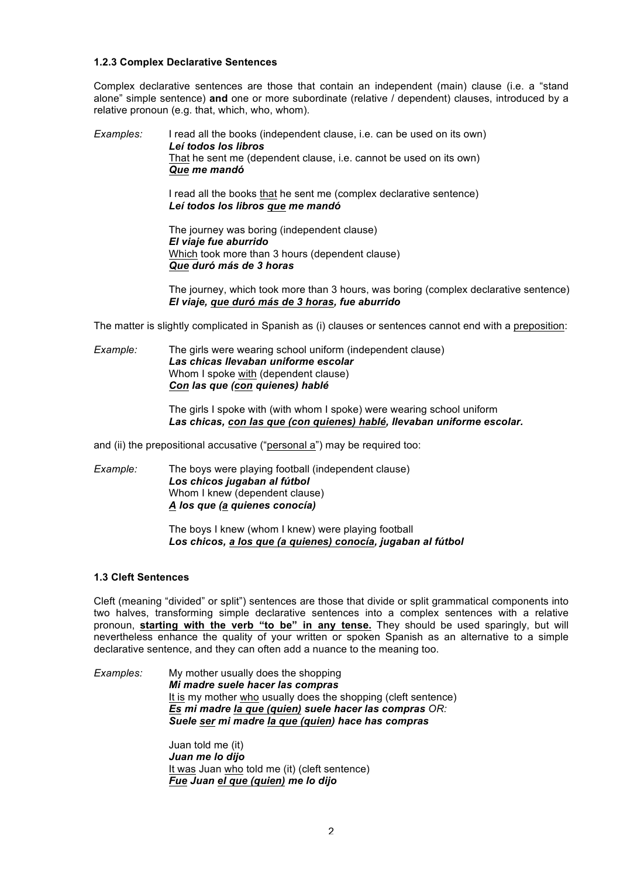### **1.2.3 Complex Declarative Sentences**

Complex declarative sentences are those that contain an independent (main) clause (i.e. a "stand alone" simple sentence) **and** one or more subordinate (relative / dependent) clauses, introduced by a relative pronoun (e.g. that, which, who, whom).

*Examples:* I read all the books (independent clause, i.e. can be used on its own) *Leí todos los libros* That he sent me (dependent clause, i.e. cannot be used on its own) *Que me mandó*

> I read all the books that he sent me (complex declarative sentence) *Leí todos los libros que me mandó*

The journey was boring (independent clause) *El viaje fue aburrido* Which took more than 3 hours (dependent clause) *Que duró más de 3 horas*

The journey, which took more than 3 hours, was boring (complex declarative sentence) *El viaje, que duró más de 3 horas, fue aburrido*

The matter is slightly complicated in Spanish as (i) clauses or sentences cannot end with a preposition:

*Example:* The girls were wearing school uniform (independent clause) *Las chicas llevaban uniforme escolar* Whom I spoke with (dependent clause) *Con las que (con quienes) hablé*

> The girls I spoke with (with whom I spoke) were wearing school uniform *Las chicas, con las que (con quienes) hablé, llevaban uniforme escolar.*

and (ii) the prepositional accusative ("personal a") may be required too:

*Example:* The boys were playing football (independent clause) *Los chicos jugaban al fútbol* Whom I knew (dependent clause) *A los que (a quienes conocía)*

> The boys I knew (whom I knew) were playing football *Los chicos, a los que (a quienes) conocía, jugaban al fútbol*

# **1.3 Cleft Sentences**

Cleft (meaning "divided" or split") sentences are those that divide or split grammatical components into two halves, transforming simple declarative sentences into a complex sentences with a relative pronoun, **starting with the verb "to be" in any tense.** They should be used sparingly, but will nevertheless enhance the quality of your written or spoken Spanish as an alternative to a simple declarative sentence, and they can often add a nuance to the meaning too.

*Examples:* My mother usually does the shopping *Mi madre suele hacer las compras*  It is my mother who usually does the shopping (cleft sentence) *Es mi madre la que (quien) suele hacer las compras OR: Suele ser mi madre la que (quien) hace has compras*

> Juan told me (it) *Juan me lo dijo* It was Juan who told me (it) (cleft sentence) *Fue Juan el que (quien) me lo dijo*